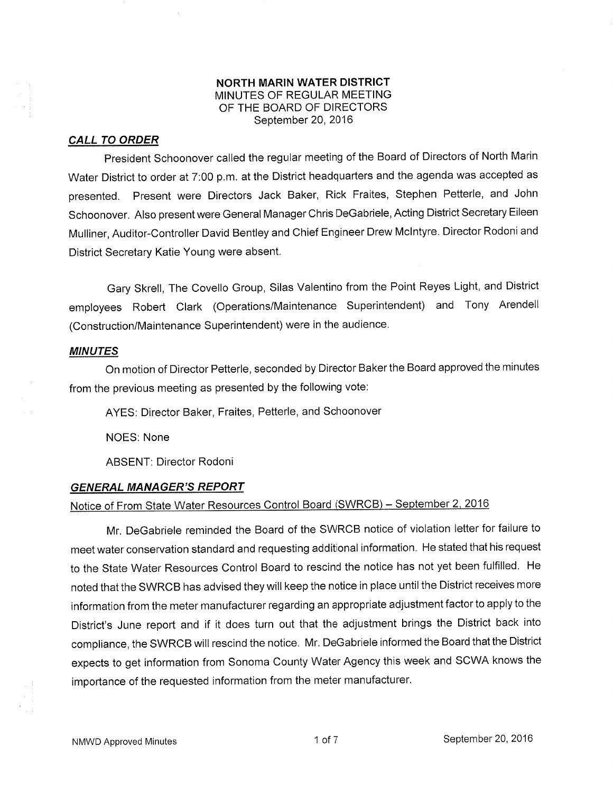### NORTH MARIN WATER DISTRICT MINUTES OF REGULAR MEETING OF THE BOARD OF DIRECTORS September 20, 2016

#### CALL TO ORDER

President Schoonover called the regular meeting of the Board of Directors of North Marin Water District to order at 7:00 p.m. at the District headquarlers and the agenda was accepted as presented. Present were Directors Jack Baker, Rick Fraites, Stephen Petterle, and John Schoonover. Also present were General Manager Chris DeGabriele, Acting District Secretary Eileen Mulliner, Auditor-Controller David Bentley and Chief Engineer Drew Mclntyre. Director Rodoniand District Secretary Katie Young were absent,

Gary Skrell, The Covello Group, Silas Valentino from the Point Reyes Light, and District employees Roberl Clark (Operations/Maintenance Superintendent) and Tony Arendell (Construction/Maintenance Superintendent) were in the audience.

#### MINUTES

On motion of Director Petterle, seconded by Director Baker the Board approved the minutes from the previous meeting as presented by the following vote:

AYES: Director Baker, Fraites, Petterle, and Schoonover

NOES: None

ABSENT: Director Rodoni

### **GENERAL MANAGER'S REPORT**

# Notice of From State Water Resources Control Board (SWRCB) - September 2, 2016

Mr. DeGabriele reminded the Board of the SWRCB notice of violation letter for failure to meet water conservation standard and requesting additional information. He stated that his request to the State Water Resources Control Board to rescind the notice has not yet been fulfilled. He noted that the SWRCB has advised they will keep the notice in place until the District receives more information from the meter manufacturer regarding an appropriate adjustment factor to apply to the District's June report and if it does turn out that the adjustment brings the District back into compliance, the SWRCB will rescind the notice. Mr. DeGabriele informed the Board that the District expects to get information from Sonoma County Water Agency this week and SCWA knows the importance of the requested information from the meter manufacturer.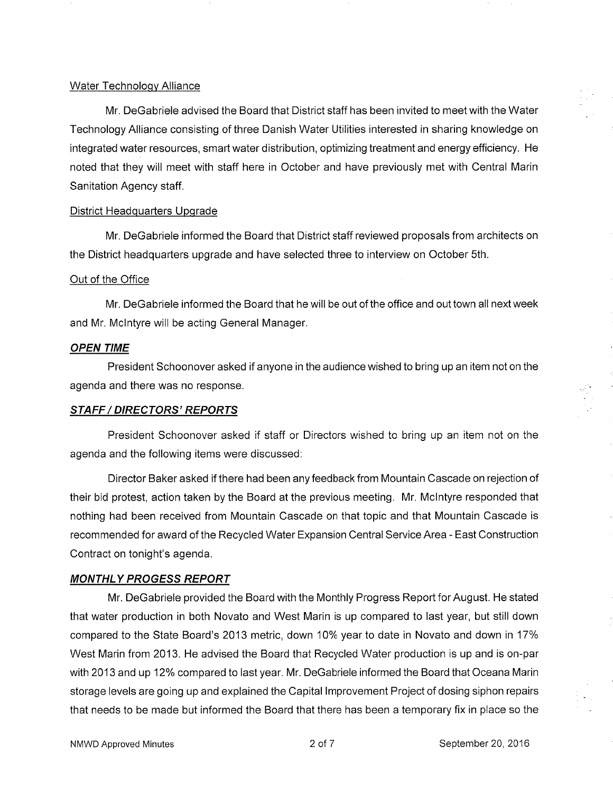#### Water Technoloqv Alliance

Mr. DeGabriele advised the Board that District staff has been invited to meet with the Water Technology Alliance consisting of three Danish Water Utilities interested in sharing knowledge on integrated water resources, smart water distribution, optimizing treatment and energy efficiency. He noted that they will meet with staff here in October and have previously met with Central Marin Sanitation Agency staff.

#### District Headquarters Upqrade

Mr. DeGabriele informed the Board that District staff reviewed proposals from architects on the District headquarters upgrade and have selected three to interview on October 5th.

#### Out of the Office

Mr. DeGabriele informed the Board that he will be out of the office and out town all next week and Mr. Mclntyre will be acting General Manager.

### OPEN TIME

President Schoonover asked if anyone in the audience wished to bring up an item not on the agenda and there was no response.

#### STAFF / DIRECTORS' REPORTS

President Schoonover asked if staff or Directors wished to bring up an item not on the agenda and the following items were discussed:

Director Baker asked if there had been any feedback from Mountain Cascade on rejection of their bid protest, action taken by the Board at the previous meeting. Mr. Mclntyre responded that nothing had been received from Mountain Cascade on that topic and that Mountain Cascade is recommended for award of the Recycled Water Expansion Central Service Area - East Construction Contract on tonight's agenda.

#### MONTHLY PROGESS REPORT

Mr, DeGabriele provided the Board with the Monthly Progress Report for August. He stated that water production in both Novato and West Marin is up compared to last year, but still down compared to the State Board's 2013 metric, down 10% year to date in Novato and down in 17% West Marin from 2013. He advised the Board that Recycled Water production is up and is on-par with 2013 and up 12% compared to last year. Mr. DeGabriele informed the Board that Oceana Marin storage levels are going up and explained the Capital lmprovement Project of dosing siphon repairs that needs to be made but informed the Board that there has been a temporary fix in place so the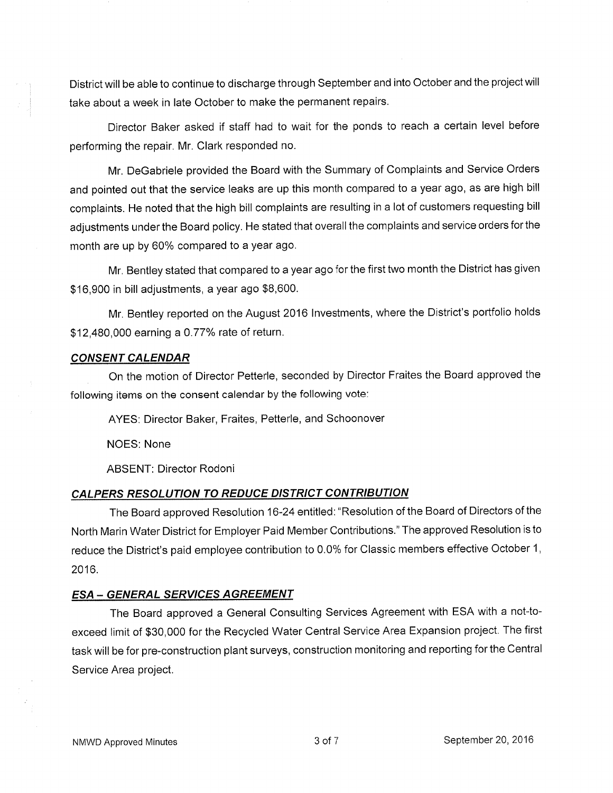District will be able to continue to discharge through September and into October and the project will take about a week in late October to make the permanent repairs.

Director Baker asked if staff had to wait for the ponds to reach a certain level before performing the repair. Mr. Clark responded no.

Mr. DeGabriele provided the Board with the Summary of Complaints and Service Orders and pointed out that the service leaks are up this month compared to a year ago, as are high bill complaints. He noted that the high bill complaints are resulting in a lot of customers requesting bill adjustments under the Board policy. He stated that overall the complaints and service orders for the month are up by 60% compared to a year ago.

Mr. Bentley stated that compared to a year ago for the first two month the District has given \$16,900 in bill adjustments, a year ago \$8,600.

Mr. Bentley reported on the August 2016 lnvestments, where the District's portfolio holds \$12,480,000 earning a 0.77% rate of return.

### **CONSENT CALENDAR**

On the motion of Director Petterle, seconded by Director Fraites the Board approved the following items on the consent calendar by the following vote:

AYES: Director Baker, Fraites, Petterle, and Schoonover

NOES: None

ABSENT: Director Rodoni

### CALPERS RESOLUTION TO REDUCE DISTRICT CONTRIBUTION

The Board approved Resolution 16-24 entitled: "Resolution of the Board of Directors of the North Marin Water District for Employer Paid Member Contributions." The approved Resolution is to reduce the District's paid employee contribution to 0.0% for Classic members effective October 1, 2016.

### ESA - GENERAL SERVICES AGREEMENT

The Board approved a General Consulting Services Agreement with ESA with a not-toexceed limit of \$3O,OO0 for the Recycled Water Central Service Area Expansion project, The first task will be for pre-construction plant surveys, construction monitoring and reporting for the Central Service Area project.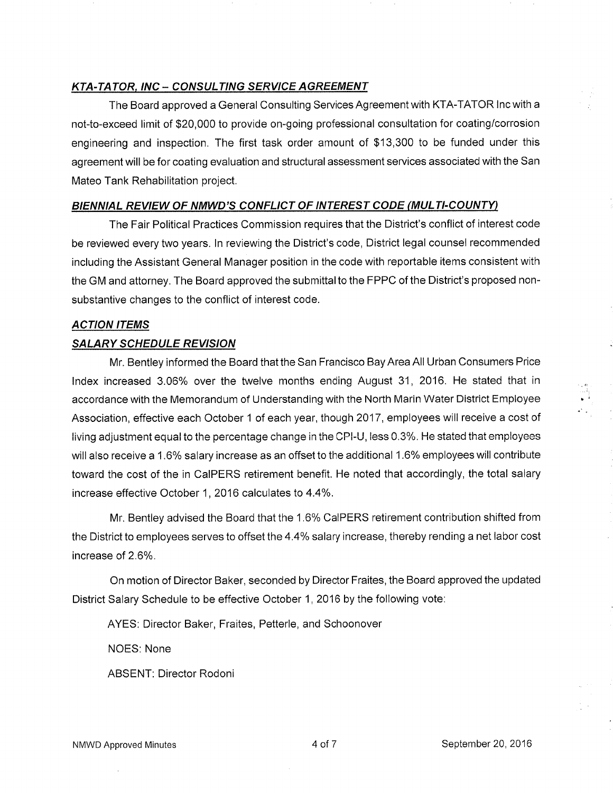## **KTA-TATOR, INC – CONSULTING SERVICE AGREEMENT**

The Board approved a General Consulting Services Agreement with KTA-TATOR Inc with a not-to-exceed limit of \$20,000 to provide on-going professional consultation for coating/corrosion engineering and inspection. The first task order amount of \$13,300 to be funded under this agreement will be for coating evaluation and structural assessment services associated with the San Mateo Tank Rehabilitation project.

### BIENNIAL REVIEW OF NMWD'S CONFLICT OF INTEREST CODE (MULTI-COUNTY)

The Fair Political Practices Commission requires that the District's conflict of interest code be reviewed every two years. In reviewing the District's code, District legal counsel recommended including the Assistant General Manager position in the code with reportable items consistent with the GM and attorney. The Board approved the submittal to the FPPC of the District's proposed nonsubstantive changes to the conflict of interest code.

### **ACTION ITEMS**

### **SALARY SCHEDULE REVISION**

Mr. Bentley informed the Board that the San Francisco Bay Area All Urban Consumers Price Index increased 3.06% over the twelve months ending August 31, 2016. He stated that in accordance with the Memorandum of Understanding with the North Marin Water District Employee Association, effective each October 1 of each year, though 2017, employees will receive a cost of living adjustment equal to the percentage change in the CPI-U, less 0.3%. He stated that employees will also receive a 1.6% salary increase as an offset to the additional 1.6% employees will contribute toward the cost of the in CaIPERS retirement benefit. He noted that accordingly, the total salary increase effective October 1, 2016 calculates to 4.4%.

Mr. Bentley advised the Board that the 1.6% CalPERS retirement contribution shifted from the District to employees serves to offset the 4.4% salary increase, thereby rending a net labor cost increase of 2.6%.

On motion of Director Baker, seconded by Director Fraites, the Board approved the updated District Salary Schedule to be effective October 1, 2016 by the following vote:

AYES: Director Baker, Fraites, Petterle, and Schoonover

NOES: None

**ABSENT: Director Rodoni**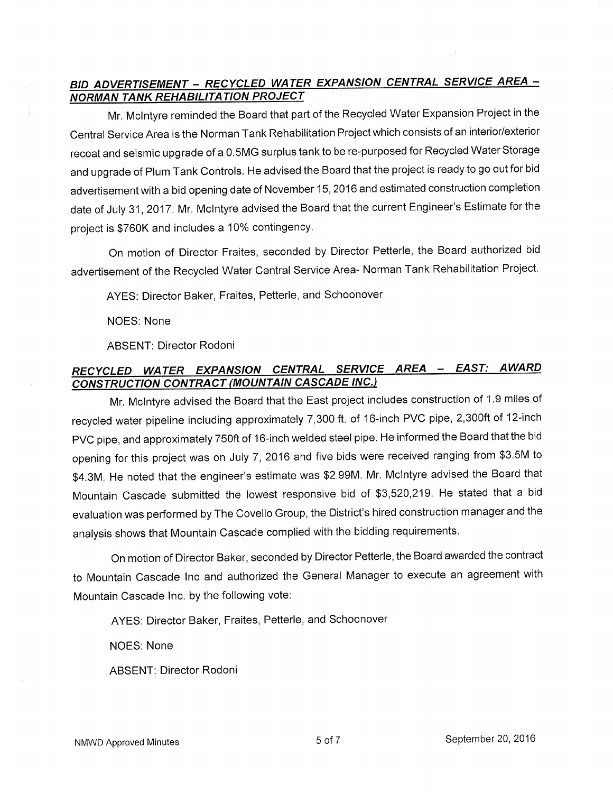# BID ADVERTISEMENT - RECYCLED WATER EXPANSION CENTRAL SERVICE AREA -**NORMAN TANK REHABILITATION PROJECT**

Mr. Mclntyre reminded the Board that part of the Recycled Water Expansion Project in the Central Service Area is the Norman Tank Rehabilitation Project which consists of an interior/exterior recoat and seismic upgrade of a 0.5MG surplus tank to be re-purposed for Recycled Water Storage and upgrade of Plum Tank Controls. He advised the Board that the project is ready to go out for bid advertisement with a bid opening date of November 15,2016 and estimated construction completion date of July <sup>31</sup>,2017 . Mr. Mclntyre advised the Board that the current Engineer's Estimate for the project is \$760K and includes a 10% contingency.

On motion of Director Fraites, seconded by Director Petterle, the Board authorized bid advertisement of the Recycled Water Central Service Area- Norman Tank Rehabilitation Project.

AYES: Director Baker, Fraites, Petterle, and Schoonover

NOES: None

ABSENT: Director Rodoni

# RECYCLED WATER EXPANSION CENTRAL SERVICE AREA - EAST: AWARD CONSTRUCTION CONTRACT (MOUNTAIN CASCADE INC.)

Mr. Mclntyre advised the Board that the East project includes construction of 1.9 miles of recycled water pipeline including approximately 7,300 ft. of 16-inch PVC pipe, 2,300ft of 12-inch pVC pipe, and approximately 750ft of 16-inch welded steel pipe. He informed the Board that the bid opening for this project was on July 7, 2016 and five bids were received ranging from \$3.5M to \$4.3M. He noted that the engineer's estimate was \$2.99M. Mr. Mclntyre advised the Board that Mountain Cascade submitted the lowest responsive bid of \$3,520,219. He stated that a bid evaluation was performed by The Covello Group, the District's hired construction manager and the analysis shows that Mountain Cascade complied with the bidding requirements.

On motion of Director Baker, seconded by Director Petterle, the Board awarded the contract to Mountain Cascade lnc and authorized the General Manager to execute an agreement with Mountain Cascade lnc. by the following vote:

AYES: Director Baker, Fraites, Petterle, and Schoonover

NOES: None

ABSENT: Director Rodoni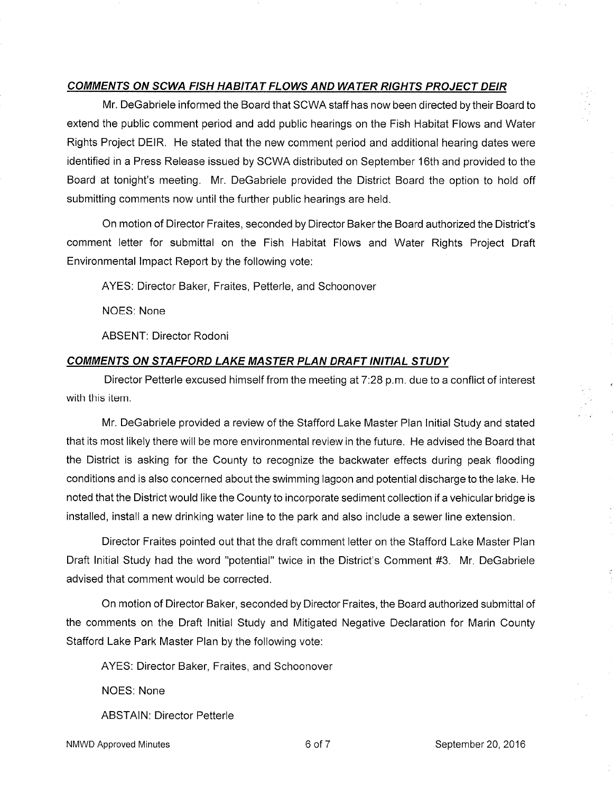## COMMENTS ON SCWA FISH HABITAT FLOWS AND WATER RIGHTS PROJECT DEIR

Mr. DeGabriele informed the Board that SCWA staff has now been directed by their Board to extend the public comment period and add public hearings on the Fish Habitat Flows and Water Rights Project DEIR. He stated that the new comment period and additional hearing dates were identified in a Press Release issued by SCWA distributed on September 16th and provided to the Board at tonight's meeting. Mr. DeGabriele provided the District Board the option to hold off submitting comments now until the further public hearings are held.

On motion of Director Fraites, seconded by Director Baker the Board authorized the District's comment letter for submittal on the Fish Habitat Flows and Water Rights Project Draft Environmental lmpact Report by the following vote:

AYES: Director Baker, Fraites, Petterle, and Schoonover

NOES: None

ABSENT: Director Rodoni

### COMMENTS ON STAFFORD LAKE MASTER PLAN DRAFT INITIAL STUDY

Director Petterle excused himself from the meeting at 7:28 p.m. due to a conflict of interest with this item.

Mr. DeGabriele provided a review of the Stafford Lake Master Plan lnitial Study and stated that its most likely there will be more environmental review in the future. He advised the Board that the District is asking for the County to recognize the backwater effects during peak flooding conditions and is also concerned about the swimming lagoon and potential discharge to the lake. He noted that the District would like the County to incorporate sediment collection if a vehicular bridge is installed, install a new drinking water line to the park and also include a sewer line extension.

Director Fraites pointed out that the draft comment letter on the Stafford Lake Master Plan Draft lnitial Study had the word "potential" twice in the District's Comment #3. Mr, DeGabriele advised that comment would be corrected.

On motion of Director Baker, seconded by Director Fraites, the Board authorized submittal of the comments on the Draft lnitial Study and Mitigated Negative Declaration for Marin County Stafford Lake Park Master Plan by the following vote:

AYES: Director Baker, Fraites, and Schoonover

NOES: None

ABSTAIN: Director Petterle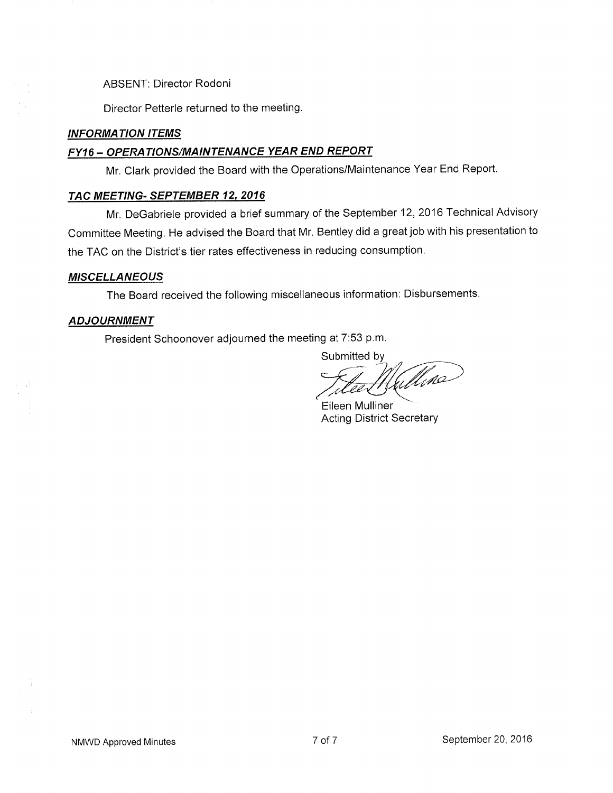ABSENT: Director Rodoni

Director Petterle returned to the meeting

## **INFORMATION ITEMS**

# FY16 - OPERATIONS/MAINTENANCE YEAR END REPORT

Mr. Clark provided the Board with the Operations/Maintenance Year End Report.

### TAC MEETING- SEPTEMBER 12, 2016

Mr. DeGabriele provided a brief summary of the September 12,2016 Technical Advisory Committee Meeting, He advised the Board that Mr. Bentley did a great job with his presentation to the TAC on the District's tier rates effectiveness in reducing consumption.

## **MISCELLANEOUS**

The Board received the following miscellaneous information: Disbursements

## **ADJOURNMENT**

President Schoonover adjourned the meeting at 7:53 p.m.

Submitted by<br>Titled Mullino

Eileen Mulliner Acting District Secretary